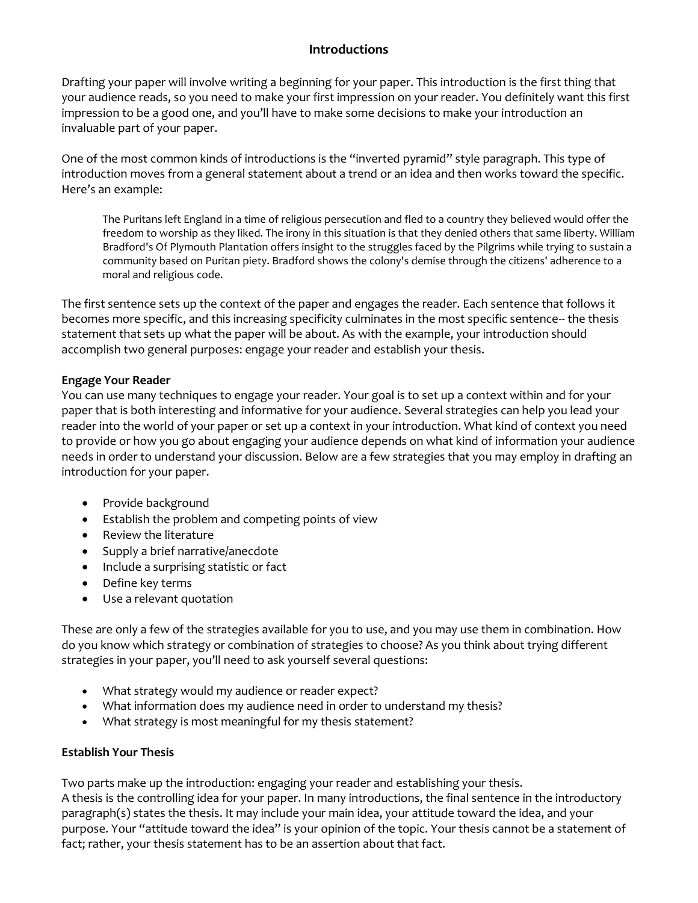## **Introductions**

Drafting your paper will involve writing a beginning for your paper. This introduction is the first thing that your audience reads, so you need to make your first impression on your reader. You definitely want this first impression to be a good one, and you'll have to make some decisions to make your introduction an invaluable part of your paper.

One of the most common kinds of introductions is the "inverted pyramid" style paragraph. This type of introduction moves from a general statement about a trend or an idea and then works toward the specific. Here's an example:

The Puritans left England in a time of religious persecution and fled to a country they believed would offer the freedom to worship as they liked. The irony in this situation is that they denied others that same liberty. William Bradford's Of Plymouth Plantation offers insight to the struggles faced by the Pilgrims while trying to sustain a community based on Puritan piety. Bradford shows the colony's demise through the citizens' adherence to a moral and religious code.

The first sentence sets up the context of the paper and engages the reader. Each sentence that follows it becomes more specific, and this increasing specificity culminates in the most specific sentence-- the thesis statement that sets up what the paper will be about. As with the example, your introduction should accomplish two general purposes: engage your reader and establish your thesis.

## **Engage Your Reader**

You can use many techniques to engage your reader. Your goal is to set up a context within and for your paper that is both interesting and informative for your audience. Several strategies can help you lead your reader into the world of your paper or set up a context in your introduction. What kind of context you need to provide or how you go about engaging your audience depends on what kind of information your audience needs in order to understand your discussion. Below are a few strategies that you may employ in drafting an introduction for your paper.

- Provide background
- Establish the problem and competing points of view
- Review the literature
- Supply a brief narrative/anecdote
- Include a surprising statistic or fact
- Define key terms
- Use a relevant quotation

These are only a few of the strategies available for you to use, and you may use them in combination. How do you know which strategy or combination of strategies to choose? As you think about trying different strategies in your paper, you'll need to ask yourself several questions:

- What strategy would my audience or reader expect?
- What information does my audience need in order to understand my thesis?
- What strategy is most meaningful for my thesis statement?

## **Establish Your Thesis**

Two parts make up the introduction: engaging your reader and establishing your thesis.

A thesis is the controlling idea for your paper. In many introductions, the final sentence in the introductory paragraph(s) states the thesis. It may include your main idea, your attitude toward the idea, and your purpose. Your "attitude toward the idea" is your opinion of the topic. Your thesis cannot be a statement of fact; rather, your thesis statement has to be an assertion about that fact.